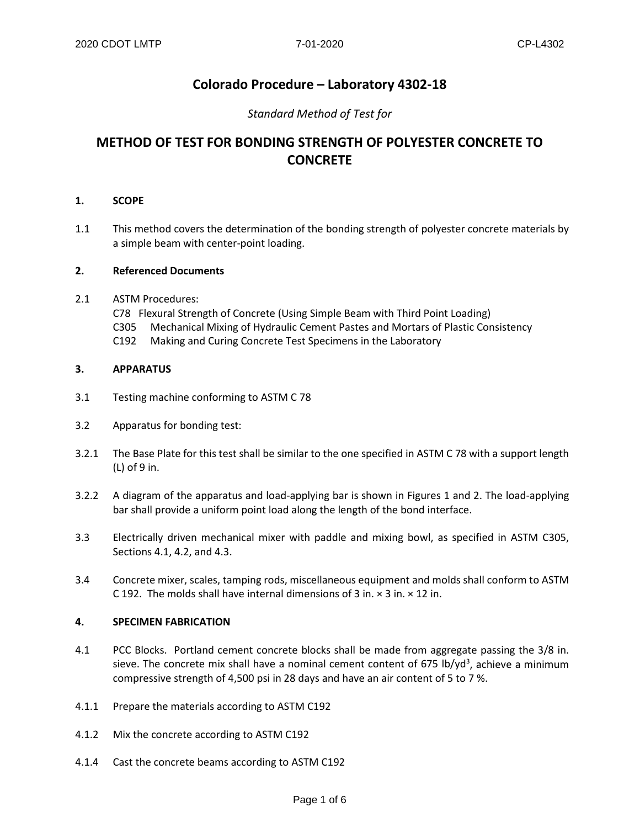## **Colorado Procedure – Laboratory 4302-18**

### *Standard Method of Test for*

## **METHOD OF TEST FOR BONDING STRENGTH OF POLYESTER CONCRETE TO CONCRETE**

#### **1. SCOPE**

1.1 This method covers the determination of the bonding strength of polyester concrete materials by a simple beam with center-point loading.

#### **2. Referenced Documents**

- 2.1 ASTM Procedures:
	- C78 Flexural Strength of Concrete (Using Simple Beam with Third Point Loading)
	- C305 Mechanical Mixing of Hydraulic Cement Pastes and Mortars of Plastic Consistency
	- C192 Making and Curing Concrete Test Specimens in the Laboratory

#### **3. APPARATUS**

- 3.1 Testing machine conforming to ASTM C 78
- 3.2 Apparatus for bonding test:
- 3.2.1 The Base Plate for this test shall be similar to the one specified in ASTM C 78 with a support length (L) of 9 in.
- 3.2.2 A diagram of the apparatus and load-applying bar is shown in Figures 1 and 2. The load-applying bar shall provide a uniform point load along the length of the bond interface.
- 3.3 Electrically driven mechanical mixer with paddle and mixing bowl, as specified in ASTM C305, Sections 4.1, 4.2, and 4.3.
- 3.4 Concrete mixer, scales, tamping rods, miscellaneous equipment and molds shall conform to ASTM C 192. The molds shall have internal dimensions of 3 in.  $\times$  3 in.  $\times$  12 in.

#### **4. SPECIMEN FABRICATION**

- 4.1 PCC Blocks. Portland cement concrete blocks shall be made from aggregate passing the 3/8 in. sieve. The concrete mix shall have a nominal cement content of 675 lb/yd<sup>3</sup>, achieve a minimum compressive strength of 4,500 psi in 28 days and have an air content of 5 to 7 %.
- 4.1.1 Prepare the materials according to ASTM C192
- 4.1.2 Mix the concrete according to ASTM C192
- 4.1.4 Cast the concrete beams according to ASTM C192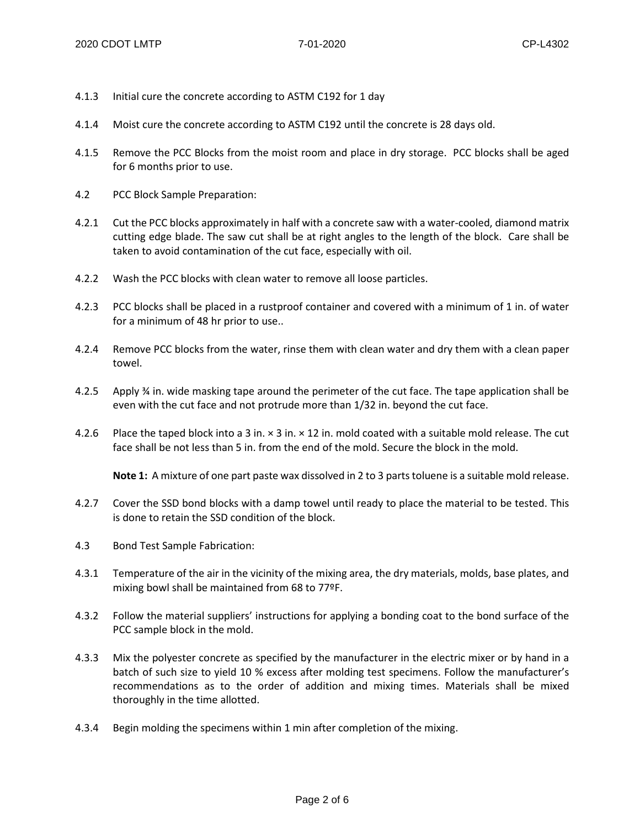- 4.1.3 Initial cure the concrete according to ASTM C192 for 1 day
- 4.1.4 Moist cure the concrete according to ASTM C192 until the concrete is 28 days old.
- 4.1.5 Remove the PCC Blocks from the moist room and place in dry storage. PCC blocks shall be aged for 6 months prior to use.
- 4.2 PCC Block Sample Preparation:
- 4.2.1 Cut the PCC blocks approximately in half with a concrete saw with a water-cooled, diamond matrix cutting edge blade. The saw cut shall be at right angles to the length of the block. Care shall be taken to avoid contamination of the cut face, especially with oil.
- 4.2.2 Wash the PCC blocks with clean water to remove all loose particles.
- 4.2.3 PCC blocks shall be placed in a rustproof container and covered with a minimum of 1 in. of water for a minimum of 48 hr prior to use..
- 4.2.4 Remove PCC blocks from the water, rinse them with clean water and dry them with a clean paper towel.
- 4.2.5 Apply ¾ in. wide masking tape around the perimeter of the cut face. The tape application shall be even with the cut face and not protrude more than 1/32 in. beyond the cut face.
- 4.2.6 Place the taped block into a 3 in. × 3 in. × 12 in. mold coated with a suitable mold release. The cut face shall be not less than 5 in. from the end of the mold. Secure the block in the mold.

**Note 1:** A mixture of one part paste wax dissolved in 2 to 3 parts toluene is a suitable mold release.

- 4.2.7 Cover the SSD bond blocks with a damp towel until ready to place the material to be tested. This is done to retain the SSD condition of the block.
- 4.3 Bond Test Sample Fabrication:
- 4.3.1 Temperature of the air in the vicinity of the mixing area, the dry materials, molds, base plates, and mixing bowl shall be maintained from 68 to 77ºF.
- 4.3.2 Follow the material suppliers' instructions for applying a bonding coat to the bond surface of the PCC sample block in the mold.
- 4.3.3 Mix the polyester concrete as specified by the manufacturer in the electric mixer or by hand in a batch of such size to yield 10 % excess after molding test specimens. Follow the manufacturer's recommendations as to the order of addition and mixing times. Materials shall be mixed thoroughly in the time allotted.
- 4.3.4 Begin molding the specimens within 1 min after completion of the mixing.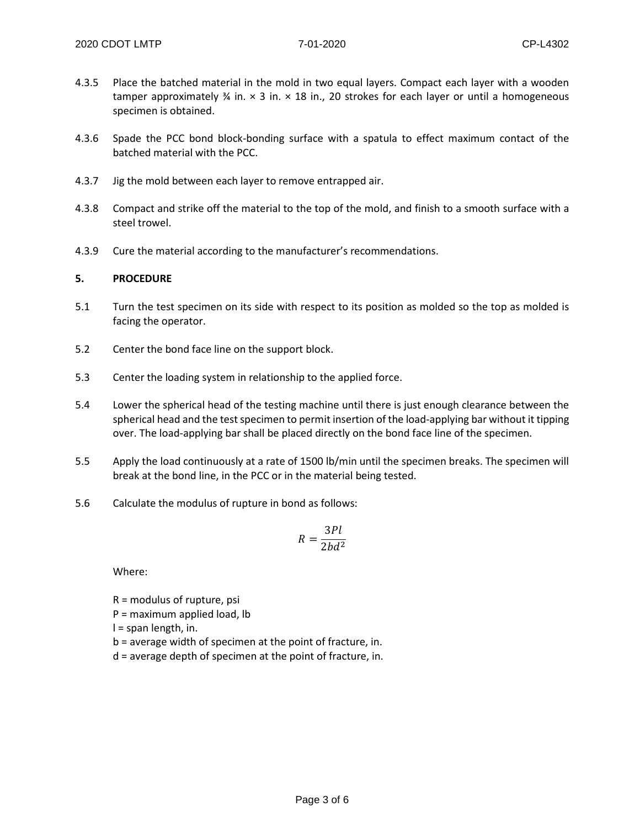- 4.3.5 Place the batched material in the mold in two equal layers. Compact each layer with a wooden tamper approximately  $\frac{3}{4}$  in.  $\times$  3 in.  $\times$  18 in., 20 strokes for each layer or until a homogeneous specimen is obtained.
- 4.3.6 Spade the PCC bond block-bonding surface with a spatula to effect maximum contact of the batched material with the PCC.
- 4.3.7 Jig the mold between each layer to remove entrapped air.
- 4.3.8 Compact and strike off the material to the top of the mold, and finish to a smooth surface with a steel trowel.
- 4.3.9 Cure the material according to the manufacturer's recommendations.

#### **5. PROCEDURE**

- 5.1 Turn the test specimen on its side with respect to its position as molded so the top as molded is facing the operator.
- 5.2 Center the bond face line on the support block.
- 5.3 Center the loading system in relationship to the applied force.
- 5.4 Lower the spherical head of the testing machine until there is just enough clearance between the spherical head and the test specimen to permit insertion of the load-applying bar without it tipping over. The load-applying bar shall be placed directly on the bond face line of the specimen.
- 5.5 Apply the load continuously at a rate of 1500 lb/min until the specimen breaks. The specimen will break at the bond line, in the PCC or in the material being tested.
- 5.6 Calculate the modulus of rupture in bond as follows:

$$
R = \frac{3Pl}{2bd^2}
$$

Where:

R = modulus of rupture, psi

P = maximum applied load, lb

l = span length, in.

- b = average width of specimen at the point of fracture, in.
- d = average depth of specimen at the point of fracture, in.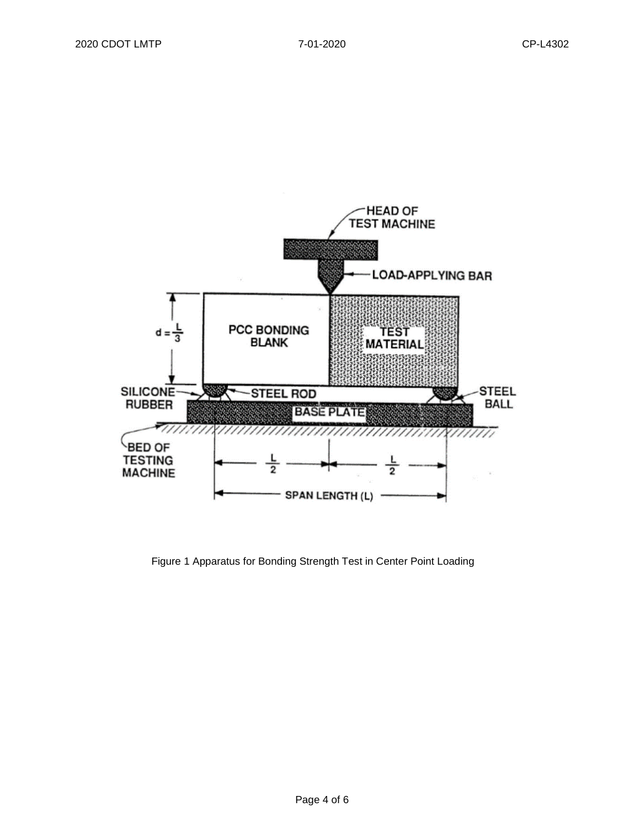

Figure 1 Apparatus for Bonding Strength Test in Center Point Loading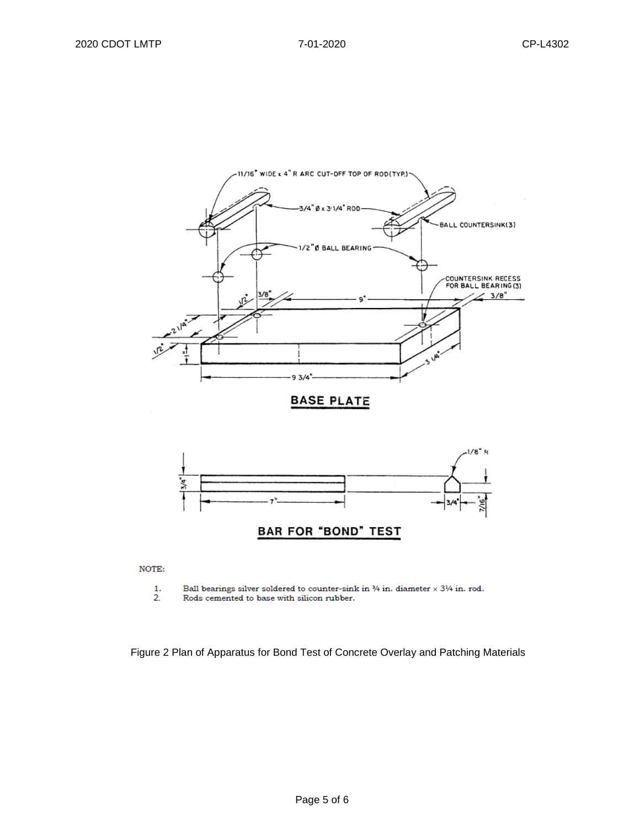



NOTE:

- $\frac{1}{2}$ . Ball bearings silver soldered to counter-sink in  $\%$  in. diameter  $\times$  3½ in. rod.
- Rods cemented to base with silicon rubber.

Figure 2 Plan of Apparatus for Bond Test of Concrete Overlay and Patching Materials